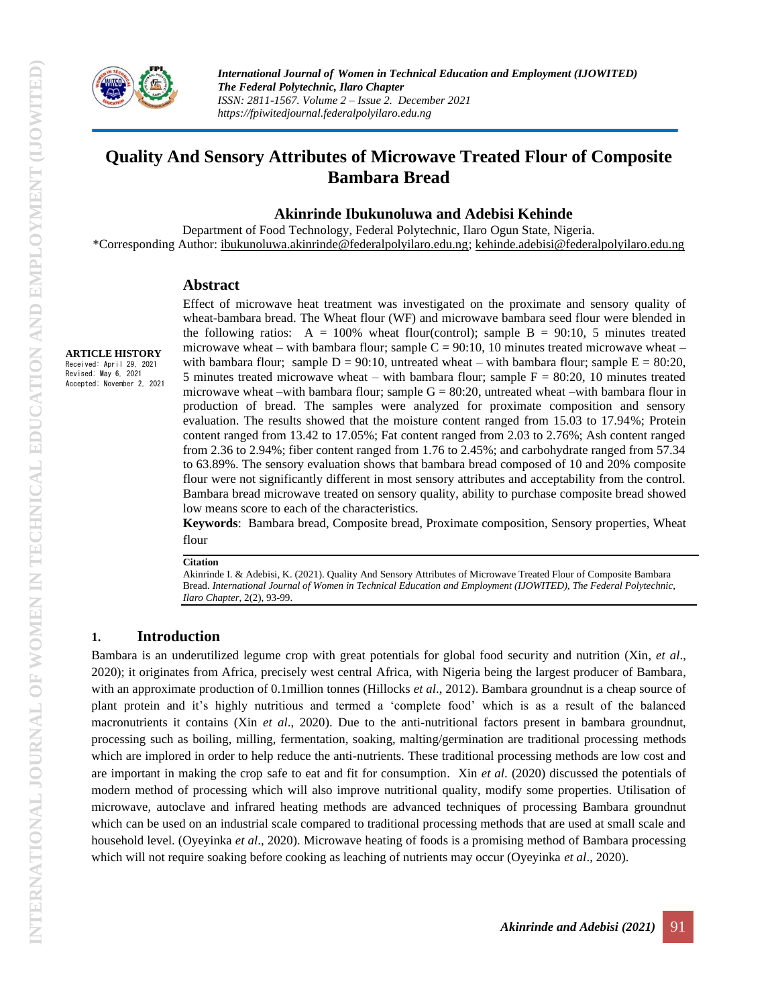

**ARTICLE HISTORY** Received: April 29, 2021 Revised: May 6, 2021 Accepted: November 2, 2021

# **Quality And Sensory Attributes of Microwave Treated Flour of Composite Bambara Bread**

### **Akinrinde Ibukunoluwa and Adebisi Kehinde**

Department of Food Technology, Federal Polytechnic, Ilaro Ogun State, Nigeria. \*Corresponding Author: [ibukunoluwa.akinrinde@federalpolyilaro.edu.ng;](mailto:ibukunoluwa.akinrinde@federalpolyilaro.edu.ng) [kehinde.adebisi@federalpolyilaro.edu.ng](mailto:kehinde.adebisi@federalpolyilaro.edu.ng)

#### **Abstract**

Effect of microwave heat treatment was investigated on the proximate and sensory quality of wheat-bambara bread. The Wheat flour (WF) and microwave bambara seed flour were blended in the following ratios:  $A = 100\%$  wheat flour(control); sample B = 90:10, 5 minutes treated microwave wheat – with bambara flour; sample  $C = 90:10$ , 10 minutes treated microwave wheat – with bambara flour; sample  $D = 90:10$ , untreated wheat – with bambara flour; sample  $E = 80:20$ , 5 minutes treated microwave wheat – with bambara flour; sample  $F = 80:20$ , 10 minutes treated microwave wheat –with bambara flour; sample  $G = 80:20$ , untreated wheat –with bambara flour in production of bread. The samples were analyzed for proximate composition and sensory evaluation. The results showed that the moisture content ranged from 15.03 to 17.94%; Protein content ranged from 13.42 to 17.05%; Fat content ranged from 2.03 to 2.76%; Ash content ranged from 2.36 to 2.94%; fiber content ranged from 1.76 to 2.45%; and carbohydrate ranged from 57.34 to 63.89%. The sensory evaluation shows that bambara bread composed of 10 and 20% composite flour were not significantly different in most sensory attributes and acceptability from the control. Bambara bread microwave treated on sensory quality, ability to purchase composite bread showed low means score to each of the characteristics.

**Keywords**: Bambara bread, Composite bread, Proximate composition, Sensory properties, Wheat flour

**Citation**

Akinrinde I. & Adebisi, K. (2021). Quality And Sensory Attributes of Microwave Treated Flour of Composite Bambara Bread. *International Journal of Women in Technical Education and Employment (IJOWITED), The Federal Polytechnic, Ilaro Chapter*, 2(2), 93-99.

## **1. Introduction**

Bambara is an underutilized legume crop with great potentials for global food security and nutrition (Xin, *et al*., 2020); it originates from Africa, precisely west central Africa, with Nigeria being the largest producer of Bambara, with an approximate production of 0.1million tonnes (Hillocks *et al.*, 2012). Bambara groundnut is a cheap source of plant protein and it's highly nutritious and termed a 'complete food' which is as a result of the balanced macronutrients it contains (Xin *et al*., 2020). Due to the anti-nutritional factors present in bambara groundnut, processing such as boiling, milling, fermentation, soaking, malting/germination are traditional processing methods which are implored in order to help reduce the anti-nutrients. These traditional processing methods are low cost and are important in making the crop safe to eat and fit for consumption. Xin *et al*. (2020) discussed the potentials of modern method of processing which will also improve nutritional quality, modify some properties. Utilisation of microwave, autoclave and infrared heating methods are advanced techniques of processing Bambara groundnut which can be used on an industrial scale compared to traditional processing methods that are used at small scale and household level. (Oyeyinka *et al*., 2020). Microwave heating of foods is a promising method of Bambara processing which will not require soaking before cooking as leaching of nutrients may occur (Oyeyinka *et al*., 2020).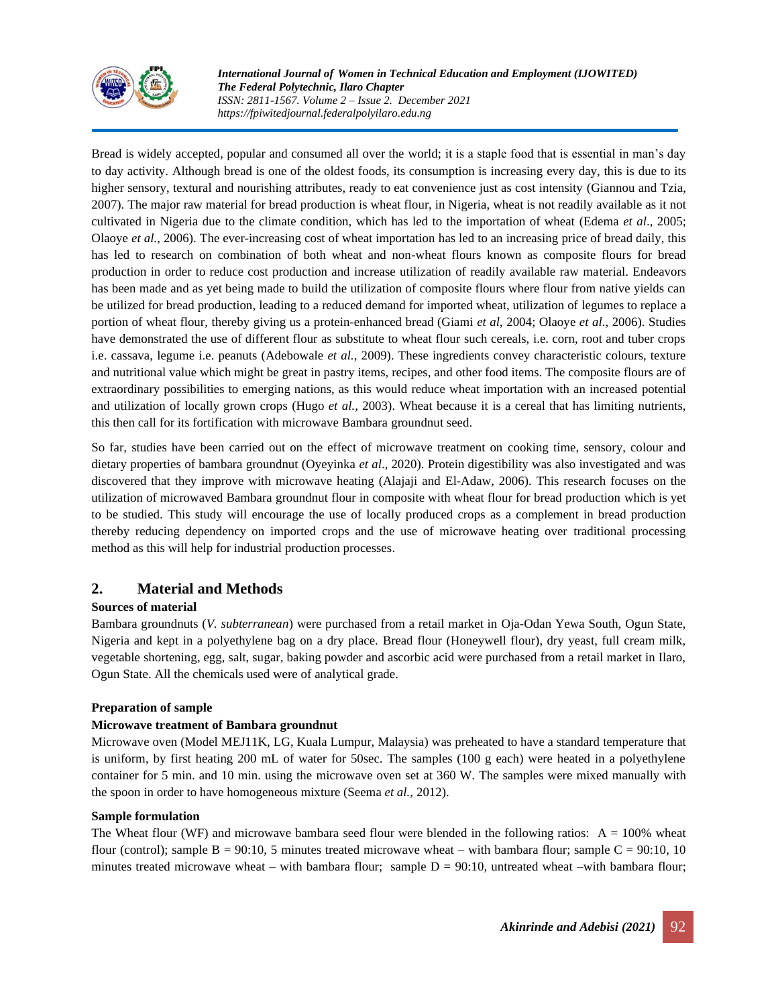

*International Journal of Women in Technical Education and Employment (IJOWITED) The Federal Polytechnic, Ilaro Chapter ISSN: 2811-1567. Volume 2 – Issue 2. December 2021 https://fpiwitedjournal.federalpolyilaro.edu.ng*

Bread is widely accepted, popular and consumed all over the world; it is a staple food that is essential in man's day to day activity. Although bread is one of the oldest foods, its consumption is increasing every day, this is due to its higher sensory, textural and nourishing attributes, ready to eat convenience just as cost intensity (Giannou and Tzia, 2007). The major raw material for bread production is wheat flour, in Nigeria, wheat is not readily available as it not cultivated in Nigeria due to the climate condition, which has led to the importation of wheat (Edema *et al*., 2005; Olaoye *et al.,* 2006). The ever-increasing cost of wheat importation has led to an increasing price of bread daily, this has led to research on combination of both wheat and non-wheat flours known as composite flours for bread production in order to reduce cost production and increase utilization of readily available raw material. Endeavors has been made and as yet being made to build the utilization of composite flours where flour from native yields can be utilized for bread production, leading to a reduced demand for imported wheat, utilization of legumes to replace a portion of wheat flour, thereby giving us a protein-enhanced bread (Giami *et al*, 2004; Olaoye *et al*., 2006). Studies have demonstrated the use of different flour as substitute to wheat flour such cereals, i.e. corn, root and tuber crops i.e. cassava, legume i.e. peanuts (Adebowale *et al.,* 2009). These ingredients convey characteristic colours, texture and nutritional value which might be great in pastry items, recipes, and other food items. The composite flours are of extraordinary possibilities to emerging nations, as this would reduce wheat importation with an increased potential and utilization of locally grown crops (Hugo *et al.,* 2003). Wheat because it is a cereal that has limiting nutrients, this then call for its fortification with microwave Bambara groundnut seed.

So far, studies have been carried out on the effect of microwave treatment on cooking time, sensory, colour and dietary properties of bambara groundnut (Oyeyinka *et al*., 2020). Protein digestibility was also investigated and was discovered that they improve with microwave heating (Alajaji and El-Adaw, 2006). This research focuses on the utilization of microwaved Bambara groundnut flour in composite with wheat flour for bread production which is yet to be studied. This study will encourage the use of locally produced crops as a complement in bread production thereby reducing dependency on imported crops and the use of microwave heating over traditional processing method as this will help for industrial production processes.

# **2. Material and Methods**

# **Sources of material**

Bambara groundnuts (*V. subterranean*) were purchased from a retail market in Oja-Odan Yewa South, Ogun State, Nigeria and kept in a polyethylene bag on a dry place. Bread flour (Honeywell flour), dry yeast, full cream milk, vegetable shortening, egg, salt, sugar, baking powder and ascorbic acid were purchased from a retail market in Ilaro, Ogun State. All the chemicals used were of analytical grade.

## **Preparation of sample**

## **Microwave treatment of Bambara groundnut**

Microwave oven (Model MEJ11K, LG, Kuala Lumpur, Malaysia) was preheated to have a standard temperature that is uniform, by first heating 200 mL of water for 50sec. The samples (100 g each) were heated in a polyethylene container for 5 min. and 10 min. using the microwave oven set at 360 W. The samples were mixed manually with the spoon in order to have homogeneous mixture (Seema *et al.,* 2012).

## **Sample formulation**

The Wheat flour (WF) and microwave bambara seed flour were blended in the following ratios:  $A = 100\%$  wheat flour (control); sample  $B = 90:10$ , 5 minutes treated microwave wheat – with bambara flour; sample  $C = 90:10$ , 10 minutes treated microwave wheat – with bambara flour; sample  $D = 90:10$ , untreated wheat –with bambara flour;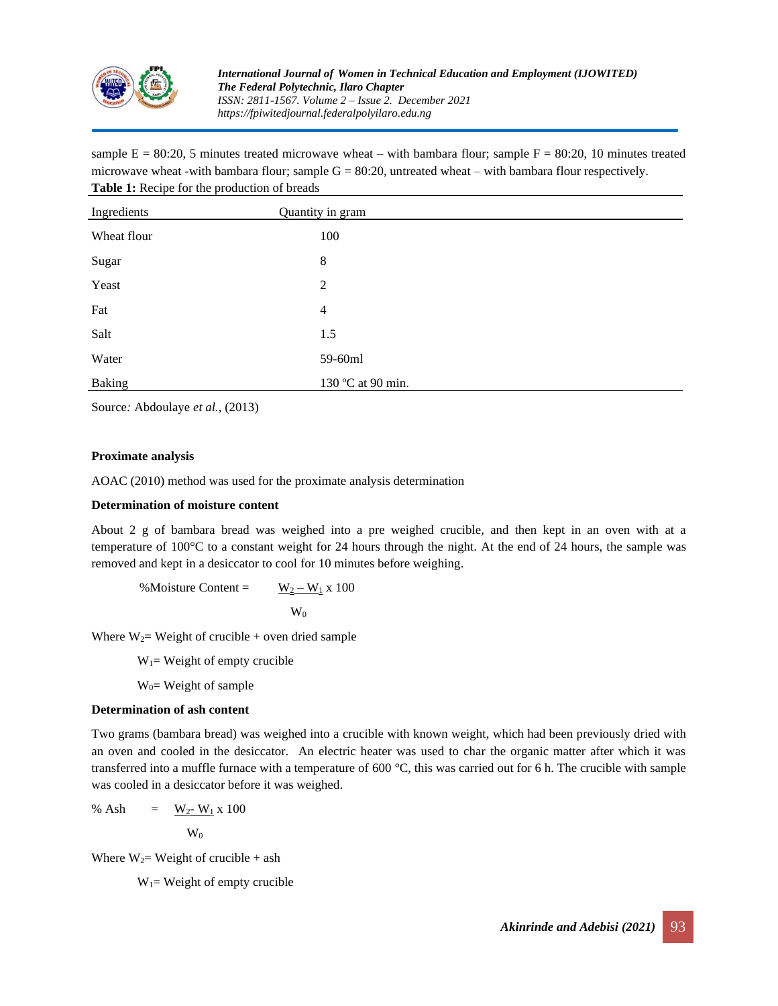

sample  $E = 80:20$ , 5 minutes treated microwave wheat – with bambara flour; sample  $F = 80:20$ , 10 minutes treated microwave wheat -with bambara flour; sample  $G = 80:20$ , untreated wheat – with bambara flour respectively. **Table 1:** Recipe for the production of breads

| Ingredients   | Quantity in gram  |
|---------------|-------------------|
| Wheat flour   | 100               |
| Sugar         | 8                 |
| Yeast         | $\overline{2}$    |
| Fat           | 4                 |
| Salt          | 1.5               |
| Water         | 59-60ml           |
| <b>Baking</b> | 130 °C at 90 min. |

Source*:* Abdoulaye *et al.,* (2013)

#### **Proximate analysis**

AOAC (2010) method was used for the proximate analysis determination

#### **Determination of moisture content**

About 2 g of bambara bread was weighed into a pre weighed crucible, and then kept in an oven with at a temperature of 100°C to a constant weight for 24 hours through the night. At the end of 24 hours, the sample was removed and kept in a desiccator to cool for 10 minutes before weighing.

%Moisture Content =  $W_2 - W_1 x 100$ 

$$
\mathrm{W}_0
$$

Where  $W_2$ = Weight of crucible + oven dried sample

 $W_1$ = Weight of empty crucible

 $W<sub>0</sub>=$  Weight of sample

#### **Determination of ash content**

Two grams (bambara bread) was weighed into a crucible with known weight, which had been previously dried with an oven and cooled in the desiccator. An electric heater was used to char the organic matter after which it was transferred into a muffle furnace with a temperature of 600 °C, this was carried out for 6 h. The crucible with sample was cooled in a desiccator before it was weighed.

% Ash =  $W_2-W_1 \times 100$  $W_0$ 

Where  $W_2$ = Weight of crucible + ash

 $W_1$ = Weight of empty crucible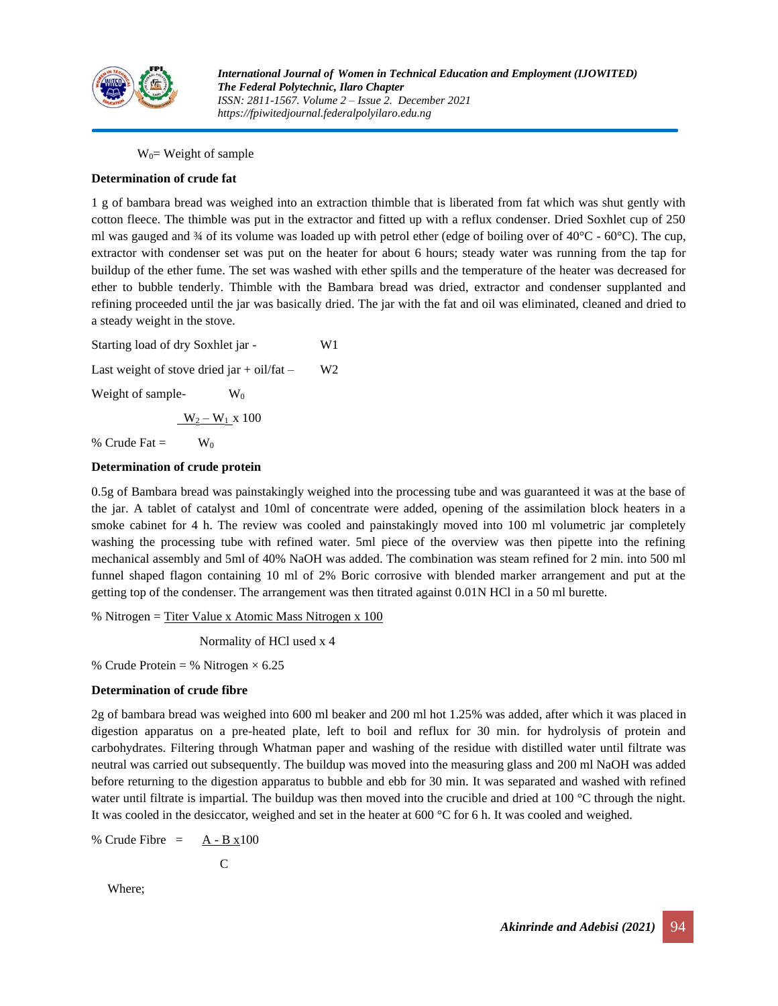

 $W<sub>0</sub>$  = Weight of sample

## **Determination of crude fat**

1 g of bambara bread was weighed into an extraction thimble that is liberated from fat which was shut gently with cotton fleece. The thimble was put in the extractor and fitted up with a reflux condenser. Dried Soxhlet cup of 250 ml was gauged and  $\frac{3}{4}$  of its volume was loaded up with petrol ether (edge of boiling over of  $40^{\circ}$ C -  $60^{\circ}$ C). The cup, extractor with condenser set was put on the heater for about 6 hours; steady water was running from the tap for buildup of the ether fume. The set was washed with ether spills and the temperature of the heater was decreased for ether to bubble tenderly. Thimble with the Bambara bread was dried, extractor and condenser supplanted and refining proceeded until the jar was basically dried. The jar with the fat and oil was eliminated, cleaned and dried to a steady weight in the stove.

Starting load of dry Soxhlet jar - W1 Last weight of stove dried jar + oil/fat –  $W2$ Weight of sample-  $W_0$ 

 $W_2 - W_1$  x 100

% Crude Fat  $=$  W<sub>0</sub>

## **Determination of crude protein**

0.5g of Bambara bread was painstakingly weighed into the processing tube and was guaranteed it was at the base of the jar. A tablet of catalyst and 10ml of concentrate were added, opening of the assimilation block heaters in a smoke cabinet for 4 h. The review was cooled and painstakingly moved into 100 ml volumetric jar completely washing the processing tube with refined water. 5ml piece of the overview was then pipette into the refining mechanical assembly and 5ml of 40% NaOH was added. The combination was steam refined for 2 min. into 500 ml funnel shaped flagon containing 10 ml of 2% Boric corrosive with blended marker arrangement and put at the getting top of the condenser. The arrangement was then titrated against 0.01N HCl in a 50 ml burette.

% Nitrogen = Titer Value x Atomic Mass Nitrogen x 100

Normality of HCl used x 4

% Crude Protein = % Nitrogen  $\times$  6.25

#### **Determination of crude fibre**

2g of bambara bread was weighed into 600 ml beaker and 200 ml hot 1.25% was added, after which it was placed in digestion apparatus on a pre-heated plate, left to boil and reflux for 30 min. for hydrolysis of protein and carbohydrates. Filtering through Whatman paper and washing of the residue with distilled water until filtrate was neutral was carried out subsequently. The buildup was moved into the measuring glass and 200 ml NaOH was added before returning to the digestion apparatus to bubble and ebb for 30 min. It was separated and washed with refined water until filtrate is impartial. The buildup was then moved into the crucible and dried at 100 °C through the night. It was cooled in the desiccator, weighed and set in the heater at 600 °C for 6 h. It was cooled and weighed.

$$
\% \text{ crude Fibre} = \underline{A - B x} 100
$$

$$
\mathbf{C}^{\mathbf{C}}
$$

Where;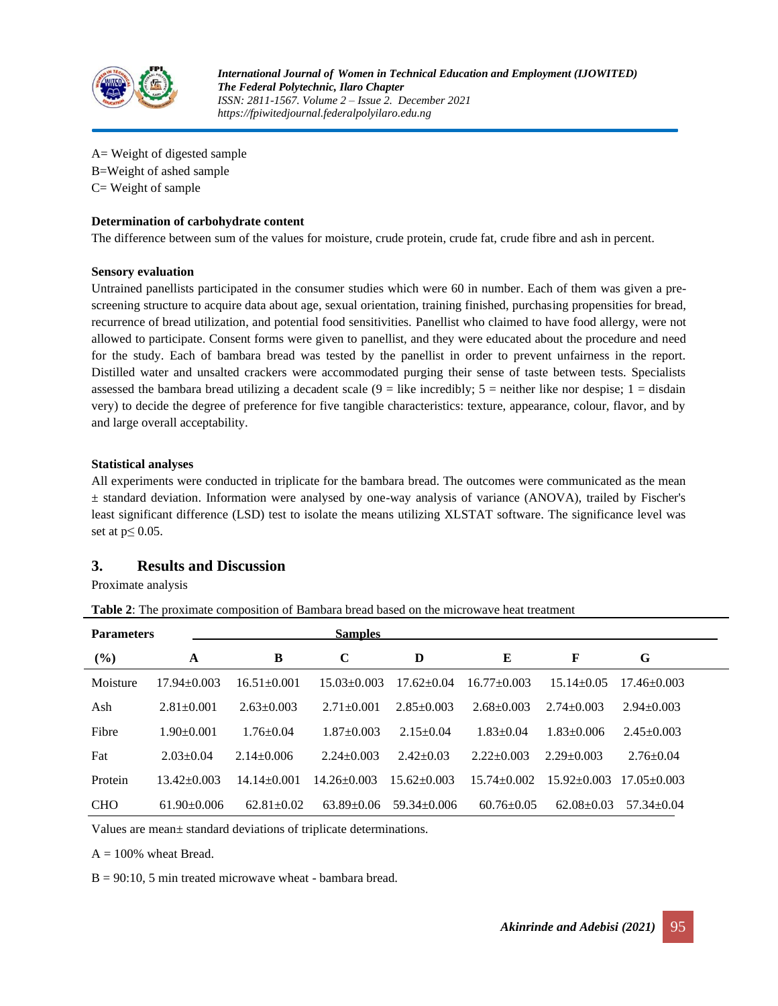

A= Weight of digested sample B=Weight of ashed sample C= Weight of sample

### **Determination of carbohydrate content**

The difference between sum of the values for moisture, crude protein, crude fat, crude fibre and ash in percent.

#### **Sensory evaluation**

Untrained panellists participated in the consumer studies which were 60 in number. Each of them was given a prescreening structure to acquire data about age, sexual orientation, training finished, purchasing propensities for bread, recurrence of bread utilization, and potential food sensitivities. Panellist who claimed to have food allergy, were not allowed to participate. Consent forms were given to panellist, and they were educated about the procedure and need for the study. Each of bambara bread was tested by the panellist in order to prevent unfairness in the report. Distilled water and unsalted crackers were accommodated purging their sense of taste between tests. Specialists assessed the bambara bread utilizing a decadent scale  $(9 =$  like incredibly;  $5 =$  neither like nor despise;  $1 =$  disdain very) to decide the degree of preference for five tangible characteristics: texture, appearance, colour, flavor, and by and large overall acceptability.

#### **Statistical analyses**

All experiments were conducted in triplicate for the bambara bread. The outcomes were communicated as the mean  $\pm$  standard deviation. Information were analysed by one-way analysis of variance (ANOVA), trailed by Fischer's least significant difference (LSD) test to isolate the means utilizing XLSTAT software. The significance level was set at  $p \leq 0.05$ .

# **3. Results and Discussion**

Proximate analysis

**Table 2**: The proximate composition of Bambara bread based on the microwave heat treatment

| <b>Parameters</b> |                   | <b>Samples</b>    |                  |                   |                  |                   |                   |  |
|-------------------|-------------------|-------------------|------------------|-------------------|------------------|-------------------|-------------------|--|
| (%)               | A                 | B                 | $\mathbf C$      | D                 | E                | F                 | G                 |  |
| Moisture          | $17.94 + 0.003$   | $16.51 + 0.001$   | $15.03 + 0.003$  | $17.62 + 0.04$    | $16.77 + 0.003$  | $15.14 + 0.05$    | $17.46 + 0.003$   |  |
| Ash               | $2.81 \pm 0.001$  | $2.63 \pm 0.003$  | $2.71 + 0.001$   | $2.85 + 0.003$    | $2.68 \pm 0.003$ | $2.74 \pm 0.003$  | $2.94 \pm 0.003$  |  |
| Fibre             | $1.90 + 0.001$    | $1.76 + 0.04$     | $1.87 + 0.003$   | $2.15 \pm 0.04$   | $1.83 + 0.04$    | $1.83 + 0.006$    | $2.45 \pm 0.003$  |  |
| Fat               | $2.03 \pm 0.04$   | $2.14 \pm 0.006$  | $2.24 \pm 0.003$ | $2.42+0.03$       | $2.22+0.003$     | $2.29 + 0.003$    | $2.76 \pm 0.04$   |  |
| Protein           | $13.42 \pm 0.003$ | $14.14 \pm 0.001$ | $14.26 + 0.003$  | $15.62 + 0.003$   | $15.74 + 0.002$  | $15.92 \pm 0.003$ | $17.05 \pm 0.003$ |  |
| <b>CHO</b>        | $61.90 \pm 0.006$ | $62.81 \pm 0.02$  | $63.89 + 0.06$   | $59.34 \pm 0.006$ | $60.76 \pm 0.05$ | $62.08 \pm 0.03$  | $57.34 \pm 0.04$  |  |

Values are mean± standard deviations of triplicate determinations.

 $A = 100\%$  wheat Bread.

 $B = 90:10, 5$  min treated microwave wheat - bambara bread.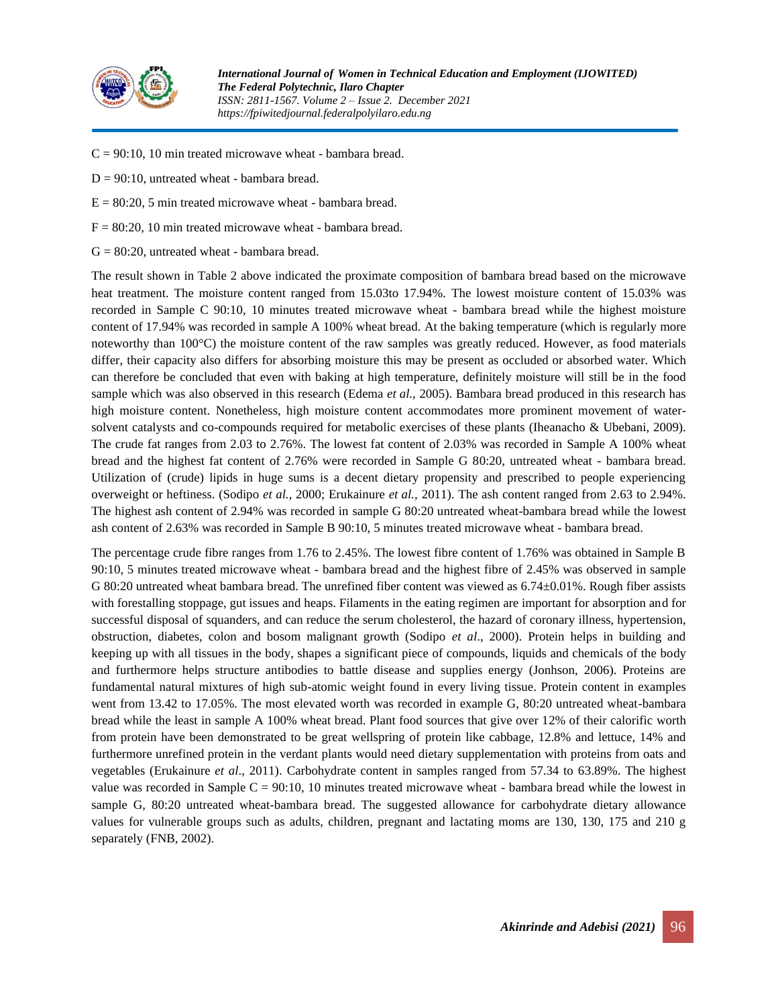

- $C = 90:10$ , 10 min treated microwave wheat bambara bread.
- $D = 90:10$ , untreated wheat bambara bread.
- $E = 80:20$ , 5 min treated microwave wheat bambara bread.
- $F = 80:20$ , 10 min treated microwave wheat bambara bread.
- $G = 80:20$ , untreated wheat bambara bread.

The result shown in Table 2 above indicated the proximate composition of bambara bread based on the microwave heat treatment. The moisture content ranged from 15.03to 17.94%. The lowest moisture content of 15.03% was recorded in Sample C 90:10, 10 minutes treated microwave wheat - bambara bread while the highest moisture content of 17.94% was recorded in sample A 100% wheat bread. At the baking temperature (which is regularly more noteworthy than 100°C) the moisture content of the raw samples was greatly reduced. However, as food materials differ, their capacity also differs for absorbing moisture this may be present as occluded or absorbed water. Which can therefore be concluded that even with baking at high temperature, definitely moisture will still be in the food sample which was also observed in this research (Edema *et al.,* 2005). Bambara bread produced in this research has high moisture content. Nonetheless, high moisture content accommodates more prominent movement of watersolvent catalysts and co-compounds required for metabolic exercises of these plants (Iheanacho & Ubebani, 2009). The crude fat ranges from 2.03 to 2.76%. The lowest fat content of 2.03% was recorded in Sample A 100% wheat bread and the highest fat content of 2.76% were recorded in Sample G 80:20, untreated wheat - bambara bread. Utilization of (crude) lipids in huge sums is a decent dietary propensity and prescribed to people experiencing overweight or heftiness. (Sodipo *et al.*, 2000; Erukainure *et al.,* 2011). The ash content ranged from 2.63 to 2.94%. The highest ash content of 2.94% was recorded in sample G 80:20 untreated wheat-bambara bread while the lowest ash content of 2.63% was recorded in Sample B 90:10, 5 minutes treated microwave wheat - bambara bread.

The percentage crude fibre ranges from 1.76 to 2.45%. The lowest fibre content of 1.76% was obtained in Sample B 90:10, 5 minutes treated microwave wheat - bambara bread and the highest fibre of 2.45% was observed in sample G 80:20 untreated wheat bambara bread. The unrefined fiber content was viewed as 6.74±0.01%. Rough fiber assists with forestalling stoppage, gut issues and heaps. Filaments in the eating regimen are important for absorption and for successful disposal of squanders, and can reduce the serum cholesterol, the hazard of coronary illness, hypertension, obstruction, diabetes, colon and bosom malignant growth (Sodipo *et al*., 2000). Protein helps in building and keeping up with all tissues in the body, shapes a significant piece of compounds, liquids and chemicals of the body and furthermore helps structure antibodies to battle disease and supplies energy (Jonhson, 2006). Proteins are fundamental natural mixtures of high sub-atomic weight found in every living tissue. Protein content in examples went from 13.42 to 17.05%. The most elevated worth was recorded in example G, 80:20 untreated wheat-bambara bread while the least in sample A 100% wheat bread. Plant food sources that give over 12% of their calorific worth from protein have been demonstrated to be great wellspring of protein like cabbage, 12.8% and lettuce, 14% and furthermore unrefined protein in the verdant plants would need dietary supplementation with proteins from oats and vegetables (Erukainure *et al*., 2011). Carbohydrate content in samples ranged from 57.34 to 63.89%. The highest value was recorded in Sample  $C = 90:10$ , 10 minutes treated microwave wheat - bambara bread while the lowest in sample G, 80:20 untreated wheat-bambara bread. The suggested allowance for carbohydrate dietary allowance values for vulnerable groups such as adults, children, pregnant and lactating moms are 130, 130, 175 and 210 g separately (FNB, 2002).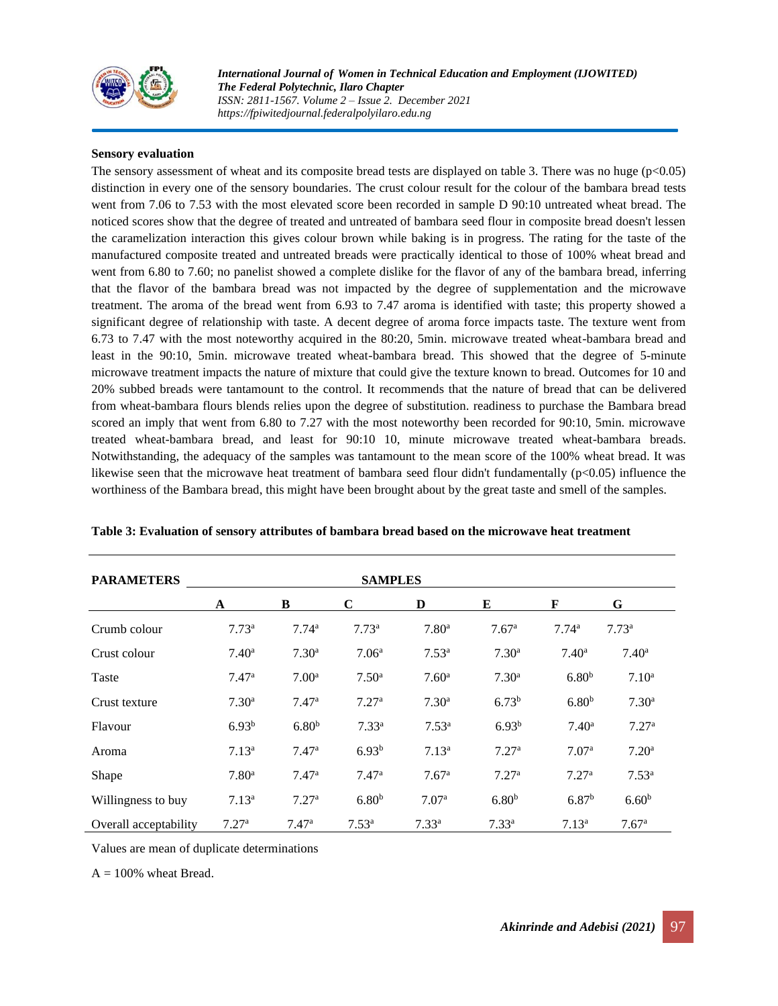

*International Journal of Women in Technical Education and Employment (IJOWITED) The Federal Polytechnic, Ilaro Chapter ISSN: 2811-1567. Volume 2 – Issue 2. December 2021 https://fpiwitedjournal.federalpolyilaro.edu.ng*

#### **Sensory evaluation**

The sensory assessment of wheat and its composite bread tests are displayed on table 3. There was no huge (p<0.05) distinction in every one of the sensory boundaries. The crust colour result for the colour of the bambara bread tests went from 7.06 to 7.53 with the most elevated score been recorded in sample D 90:10 untreated wheat bread. The noticed scores show that the degree of treated and untreated of bambara seed flour in composite bread doesn't lessen the caramelization interaction this gives colour brown while baking is in progress. The rating for the taste of the manufactured composite treated and untreated breads were practically identical to those of 100% wheat bread and went from 6.80 to 7.60; no panelist showed a complete dislike for the flavor of any of the bambara bread, inferring that the flavor of the bambara bread was not impacted by the degree of supplementation and the microwave treatment. The aroma of the bread went from 6.93 to 7.47 aroma is identified with taste; this property showed a significant degree of relationship with taste. A decent degree of aroma force impacts taste. The texture went from 6.73 to 7.47 with the most noteworthy acquired in the 80:20, 5min. microwave treated wheat-bambara bread and least in the 90:10, 5min. microwave treated wheat-bambara bread. This showed that the degree of 5-minute microwave treatment impacts the nature of mixture that could give the texture known to bread. Outcomes for 10 and 20% subbed breads were tantamount to the control. It recommends that the nature of bread that can be delivered from wheat-bambara flours blends relies upon the degree of substitution. readiness to purchase the Bambara bread scored an imply that went from 6.80 to 7.27 with the most noteworthy been recorded for 90:10, 5min. microwave treated wheat-bambara bread, and least for 90:10 10, minute microwave treated wheat-bambara breads. Notwithstanding, the adequacy of the samples was tantamount to the mean score of the 100% wheat bread. It was likewise seen that the microwave heat treatment of bambara seed flour didn't fundamentally (p<0.05) influence the worthiness of the Bambara bread, this might have been brought about by the great taste and smell of the samples.

| <b>PARAMETERS</b>     |                   |                   |                   |                   |                   |                   |                   |
|-----------------------|-------------------|-------------------|-------------------|-------------------|-------------------|-------------------|-------------------|
|                       | A                 | B                 | $\mathbf C$       | D                 | E                 | F                 | G                 |
| Crumb colour          | 7.73 <sup>a</sup> | 7.74 <sup>a</sup> | 7.73 <sup>a</sup> | 7.80 <sup>a</sup> | 7.67 <sup>a</sup> | 7.74 <sup>a</sup> | 7.73 <sup>a</sup> |
| Crust colour          | $7.40^{\rm a}$    | 7.30 <sup>a</sup> | 7.06 <sup>a</sup> | $7.53^{\rm a}$    | 7.30 <sup>a</sup> | 7.40 <sup>a</sup> | $7.40^{\rm a}$    |
| Taste                 | 7.47a             | 7.00 <sup>a</sup> | 7.50 <sup>a</sup> | 7.60 <sup>a</sup> | 7.30 <sup>a</sup> | 6.80 <sup>b</sup> | 7.10 <sup>a</sup> |
| Crust texture         | 7.30 <sup>a</sup> | 7.47 <sup>a</sup> | 7.27 <sup>a</sup> | 7.30 <sup>a</sup> | 6.73 <sup>b</sup> | 6.80 <sup>b</sup> | 7.30 <sup>a</sup> |
| Flavour               | 6.93 <sup>b</sup> | 6.80 <sup>b</sup> | 7.33 <sup>a</sup> | 7.53 <sup>a</sup> | 6.93 <sup>b</sup> | 7.40 <sup>a</sup> | 7.27 <sup>a</sup> |
| Aroma                 | 7.13 <sup>a</sup> | 7.47 <sup>a</sup> | $6.93^{b}$        | 7.13 <sup>a</sup> | 7.27 <sup>a</sup> | 7.07 <sup>a</sup> | 7.20 <sup>a</sup> |
| Shape                 | 7.80 <sup>a</sup> | 7.47 <sup>a</sup> | 7.47 <sup>a</sup> | 7.67 <sup>a</sup> | 7.27 <sup>a</sup> | 7.27 <sup>a</sup> | 7.53 <sup>a</sup> |
| Willingness to buy    | 7.13 <sup>a</sup> | 7.27 <sup>a</sup> | 6.80 <sup>b</sup> | 7.07 <sup>a</sup> | 6.80 <sup>b</sup> | 6.87 <sup>b</sup> | 6.60 <sup>b</sup> |
| Overall acceptability | 7.27 <sup>a</sup> | 7.47 <sup>a</sup> | 7.53 <sup>a</sup> | 7.33 <sup>a</sup> | 7.33 <sup>a</sup> | 7.13 <sup>a</sup> | 7.67 <sup>a</sup> |

**Table 3: Evaluation of sensory attributes of bambara bread based on the microwave heat treatment**

Values are mean of duplicate determinations

 $A = 100\%$  wheat Bread.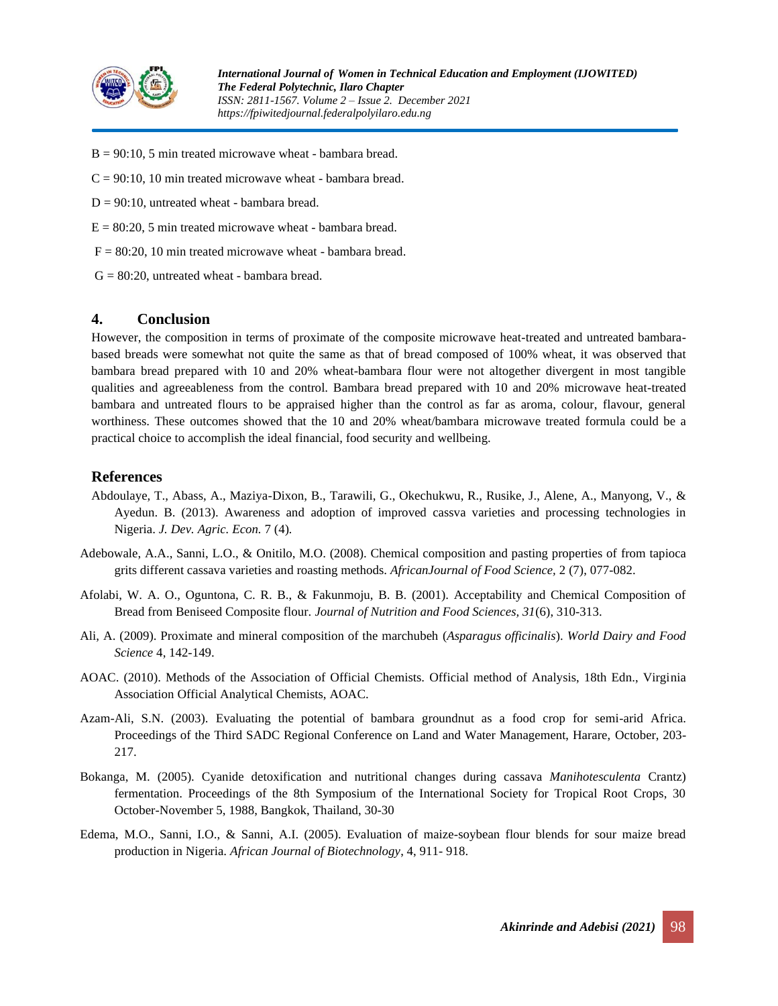

- $B = 90:10, 5$  min treated microwave wheat bambara bread.
- $C = 90:10$ , 10 min treated microwave wheat bambara bread.
- $D = 90:10$ , untreated wheat bambara bread.
- $E = 80:20$ , 5 min treated microwave wheat bambara bread.
- $F = 80:20$ , 10 min treated microwave wheat bambara bread.
- $G = 80:20$ , untreated wheat bambara bread.

## **4. Conclusion**

However, the composition in terms of proximate of the composite microwave heat-treated and untreated bambarabased breads were somewhat not quite the same as that of bread composed of 100% wheat, it was observed that bambara bread prepared with 10 and 20% wheat-bambara flour were not altogether divergent in most tangible qualities and agreeableness from the control. Bambara bread prepared with 10 and 20% microwave heat-treated bambara and untreated flours to be appraised higher than the control as far as aroma, colour, flavour, general worthiness. These outcomes showed that the 10 and 20% wheat/bambara microwave treated formula could be a practical choice to accomplish the ideal financial, food security and wellbeing.

# **References**

- Abdoulaye, T., Abass, A., Maziya-Dixon, B., Tarawili, G., Okechukwu, R., Rusike, J., Alene, A., Manyong, V., & Ayedun. B. (2013). Awareness and adoption of improved cassva varieties and processing technologies in Nigeria. *J. Dev. Agric. Econ.* 7 (4)*.*
- Adebowale, A.A., Sanni, L.O., & Onitilo, M.O. (2008). Chemical composition and pasting properties of from tapioca grits different cassava varieties and roasting methods. *AfricanJournal of Food Science,* 2 (7), 077-082.
- Afolabi, W. A. O., Oguntona, C. R. B., & Fakunmoju, B. B. (2001). Acceptability and Chemical Composition of Bread from Beniseed Composite flour. *Journal of Nutrition and Food Sciences, 31*(6), 310-313.
- Ali, A. (2009). Proximate and mineral composition of the marchubeh (*Asparagus officinalis*). *World Dairy and Food Science* 4, 142-149.
- AOAC. (2010). Methods of the Association of Official Chemists. Official method of Analysis, 18th Edn., Virginia Association Official Analytical Chemists, AOAC.
- Azam-Ali, S.N. (2003). Evaluating the potential of bambara groundnut as a food crop for semi-arid Africa. Proceedings of the Third SADC Regional Conference on Land and Water Management, Harare, October, 203- 217.
- Bokanga, M. (2005). Cyanide detoxification and nutritional changes during cassava *Manihotesculenta* Crantz) fermentation. Proceedings of the 8th Symposium of the International Society for Tropical Root Crops, 30 October-November 5, 1988, Bangkok, Thailand, 30-30
- Edema, M.O., Sanni, I.O., & Sanni, A.I. (2005). Evaluation of maize-soybean flour blends for sour maize bread production in Nigeria. *African Journal of Biotechnology*, 4, 911- 918.